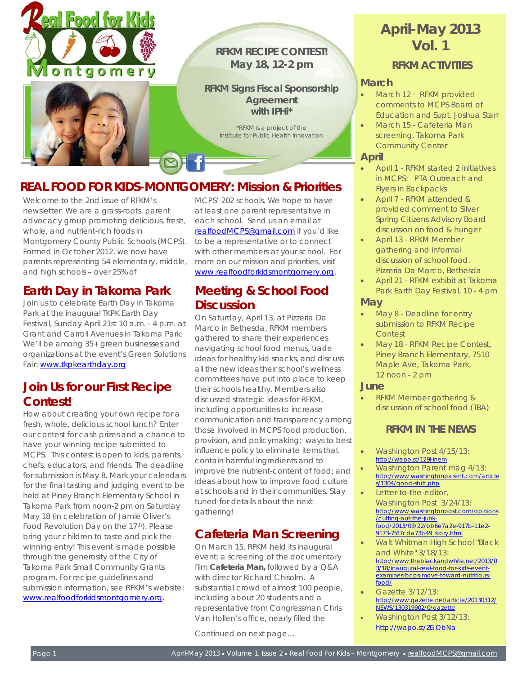



### **RFKM RECIPE CONTEST! May 18, 12-2 pm**

### **RFKM Signs Fiscal Sponsorship Agreement with IPHi\***

*\*RFKM is a project of the Institute for Public Health Innovation*

# **REAL FOOD FOR KIDS-MONTGOMERY: Mission & Priorities**

Welcome to the 2nd issue of RFKM's newsletter. We are a grass-roots, parent advocacy group promoting delicious, fresh, whole, and nutrient-rich foods in Montgomery County Public Schools (MCPS). Formed in October 2012, we now have parents representing 54 elementary, middle, and high schools – over 25% of

# **Earth Day in Takoma Park**

Join us to celebrate Earth Day in Takoma Park at the inaugural TKPK Earth Day Festival, Sunday April 21st 10 a.m. - 4 p.m. at Grant and Carroll Avenues in Takoma Park. We'll be among 35+ green businesses and organizations at the event's Green Solutions Fair: [www.tkpkearthday.org](http://www.tkpkearthday.org/)

# **Join Us for our First Recipe Contest!**

How about creating your own recipe for a fresh, whole, delicious school lunch? Enter our contest for cash prizes and a chance to have your winning recipe submitted to MCPS. This contest is open to kids, parents, chefs, educators, and friends. The deadline for submission is May 8. Mark your calendars for the final tasting and judging event to be held at Piney Branch Elementary School in Takoma Park from noon-2 pm on Saturday May 18 (in celebration of Jamie Oliver's Food Revolution Day on the 17<sup>th</sup>). Please bring your children to taste and pick the winning entry! This event is made possible through the generosity of the City of Takoma Park Small Community Grants program. For recipe guidelines and submission information, see RFKM's website: [www.realfoodforkidsmontgomery.org.](http://www.realfoodforkidsmontgomery.org/) 

MCPS' 202 schools. We hope to have at least one parent representative in each school. Send us an email at [realfoodMCPS@gmail.com](mailto:realfoodMCPS@gmail.com) if you'd like to be a representative or to connect with other members at your school. For more on our mission and priorities, visit [www.realfoodforkidsmontgomery.org.](http://www.realfoodforkidsmontgomery.org/)

# **Meeting & School Food Discussion**

On Saturday, April 13, at Pizzeria Da Marco in Bethesda, RFKM members gathered to share their experiences navigating school food menus, trade ideas for healthy kid snacks, and discuss all the new ideas their school's wellness committees have put into place to keep their schools healthy. Members also discussed strategic ideas for RFKM, including opportunities to increase communication and transparency among those involved in MCPS food production, provision, and policymaking; ways to best influence policy to eliminate items that contain harmful ingredients and to improve the nutrient-content of food; and ideas about how to improve food culture at schools and in their communities. Stay tuned for details about the next gathering!

# **Cafeteria Man Screening**

On March 15, RFKM held its inaugural event: a screening of the documentary film **Cafeteria Man,** followed by a Q&A with director Richard Chisolm. A substantial crowd of almost 100 people, including about 20 students and a representative from Congressman Chris Van Hollen's office, nearly filled the

Continued on next page…

# **April-May 2013 Vol. 1**

*RFKM ACTIVITIES* 

### **March**

- March 12 RFKM provided comments to MCPS Board of Education and Supt. Joshua Starr
- March 15 Cafeteria Man screening, Takoma Park Community Center

### **April**

- April 1 RFKM started 2 initiatives in MCPS: PTA Outreach and Flyers in Backpacks
- April 7 RFKM attended & provided comment to Silver Spring Citizens Advisory Board discussion on food & hunger
- April 13 RFKM Member gathering and informal discussion of school food. Pizzeria Da Marco, Bethesda
- April 21 RFKM exhibit at Takoma Park Earth Day Festival, 10 - 4 pm

#### **May**

- May 8 Deadline for entry submission to RFKM Recipe Contest
- May 18 RFKM Recipe Contest, Piney Branch Elementary, 7510 Maple Ave, Takoma Park, 12 noon - 2 pm

#### **June**

• RFKM Member gathering & discussion of school food (TBA)

### *RFKM IN THE NEWS*

- Washington Post 4/15/13: <http://wapo.st/129Hnem>
- Washington Parent mag 4/13: [http://www.washingtonparent.com/article](http://www.washingtonparent.com/articles/1304/good-stuff.php) [s/1304/good-stuff.php](http://www.washingtonparent.com/articles/1304/good-stuff.php)
- Letter-to-the-editor Washington Post 3/24/13: [http://www.washingtonpost.com/opinions](http://www.washingtonpost.com/opinions/cutting-out-the-junk-food/2013/03/22/bb6e7a2e-917b-11e2-9173-7f87cda73b49_story.html) [/cutting-out-the-junk](http://www.washingtonpost.com/opinions/cutting-out-the-junk-food/2013/03/22/bb6e7a2e-917b-11e2-9173-7f87cda73b49_story.html)[food/2013/03/22/bb6e7a2e-917b-11e2-](http://www.washingtonpost.com/opinions/cutting-out-the-junk-food/2013/03/22/bb6e7a2e-917b-11e2-9173-7f87cda73b49_story.html) [9173-7f87cda73b49\\_story.html](http://www.washingtonpost.com/opinions/cutting-out-the-junk-food/2013/03/22/bb6e7a2e-917b-11e2-9173-7f87cda73b49_story.html)
- Walt Whitman High School "Black and White" 3/18/13: [http://www.theblackandwhite.net/2013/0](http://www.theblackandwhite.net/2013/03/18/inaugural-real-food-for-kids-event-examines-bcps-move-toward-nutritious-food/) [3/18/inaugural-real-food-for-kids-event](http://www.theblackandwhite.net/2013/03/18/inaugural-real-food-for-kids-event-examines-bcps-move-toward-nutritious-food/)[examines-bcps-move-toward-nutritious](http://www.theblackandwhite.net/2013/03/18/inaugural-real-food-for-kids-event-examines-bcps-move-toward-nutritious-food/)[food/](http://www.theblackandwhite.net/2013/03/18/inaugural-real-food-for-kids-event-examines-bcps-move-toward-nutritious-food/)
- Gazette 3/12/13: [http://www.gazette.net/article/20130312/](http://www.gazette.net/article/20130312/NEWS/130319902/0/gazette) [NEWS/130319902/0/gazette](http://www.gazette.net/article/20130312/NEWS/130319902/0/gazette)
- Washington Post 3/12/13: <http://wapo.st/ZGObNa>